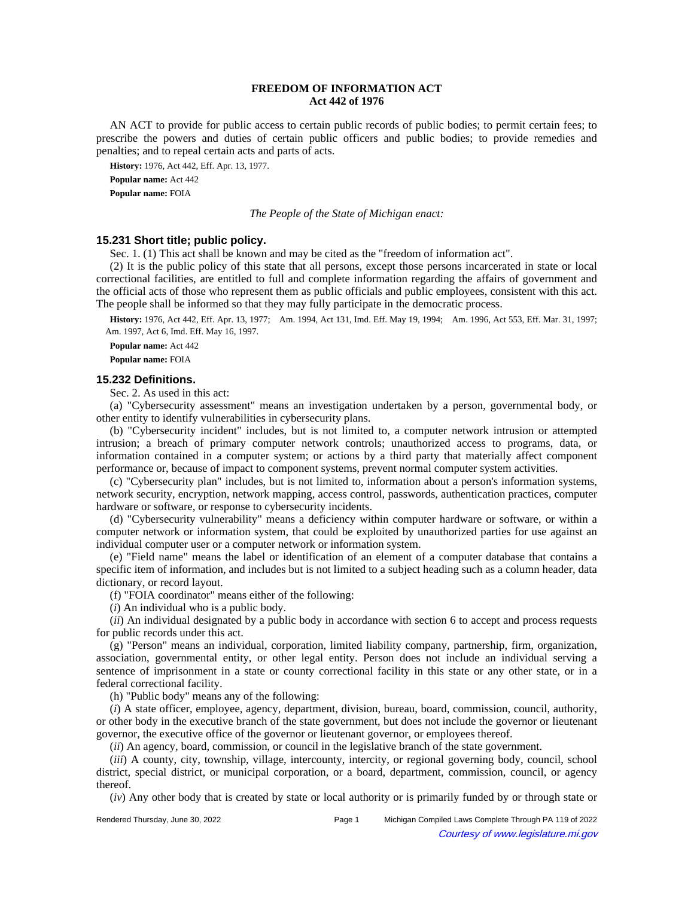# **FREEDOM OF INFORMATION ACT Act 442 of 1976**

AN ACT to provide for public access to certain public records of public bodies; to permit certain fees; to prescribe the powers and duties of certain public officers and public bodies; to provide remedies and penalties; and to repeal certain acts and parts of acts.

**History:** 1976, Act 442, Eff. Apr. 13, 1977. **Popular name:** Act 442 **Popular name:** FOIA

*The People of the State of Michigan enact:*

### **15.231 Short title; public policy.**

Sec. 1. (1) This act shall be known and may be cited as the "freedom of information act".

(2) It is the public policy of this state that all persons, except those persons incarcerated in state or local correctional facilities, are entitled to full and complete information regarding the affairs of government and the official acts of those who represent them as public officials and public employees, consistent with this act. The people shall be informed so that they may fully participate in the democratic process.

History: 1976, Act 442, Eff. Apr. 13, 1977;—Am. 1994, Act 131, Imd. Eff. May 19, 1994;—Am. 1996, Act 553, Eff. Mar. 31, 1997; Am. 1997, Act 6, Imd. Eff. May 16, 1997.

**Popular name:** Act 442 **Popular name:** FOIA

### **15.232 Definitions.**

Sec. 2. As used in this act:

(a) "Cybersecurity assessment" means an investigation undertaken by a person, governmental body, or other entity to identify vulnerabilities in cybersecurity plans.

(b) "Cybersecurity incident" includes, but is not limited to, a computer network intrusion or attempted intrusion; a breach of primary computer network controls; unauthorized access to programs, data, or information contained in a computer system; or actions by a third party that materially affect component performance or, because of impact to component systems, prevent normal computer system activities.

(c) "Cybersecurity plan" includes, but is not limited to, information about a person's information systems, network security, encryption, network mapping, access control, passwords, authentication practices, computer hardware or software, or response to cybersecurity incidents.

(d) "Cybersecurity vulnerability" means a deficiency within computer hardware or software, or within a computer network or information system, that could be exploited by unauthorized parties for use against an individual computer user or a computer network or information system.

(e) "Field name" means the label or identification of an element of a computer database that contains a specific item of information, and includes but is not limited to a subject heading such as a column header, data dictionary, or record layout.

(f) "FOIA coordinator" means either of the following:

(*i*) An individual who is a public body.

(*ii*) An individual designated by a public body in accordance with section 6 to accept and process requests for public records under this act.

(g) "Person" means an individual, corporation, limited liability company, partnership, firm, organization, association, governmental entity, or other legal entity. Person does not include an individual serving a sentence of imprisonment in a state or county correctional facility in this state or any other state, or in a federal correctional facility.

(h) "Public body" means any of the following:

(*i*) A state officer, employee, agency, department, division, bureau, board, commission, council, authority, or other body in the executive branch of the state government, but does not include the governor or lieutenant governor, the executive office of the governor or lieutenant governor, or employees thereof.

(*ii*) An agency, board, commission, or council in the legislative branch of the state government.

(*iii*) A county, city, township, village, intercounty, intercity, or regional governing body, council, school district, special district, or municipal corporation, or a board, department, commission, council, or agency thereof.

(*iv*) Any other body that is created by state or local authority or is primarily funded by or through state or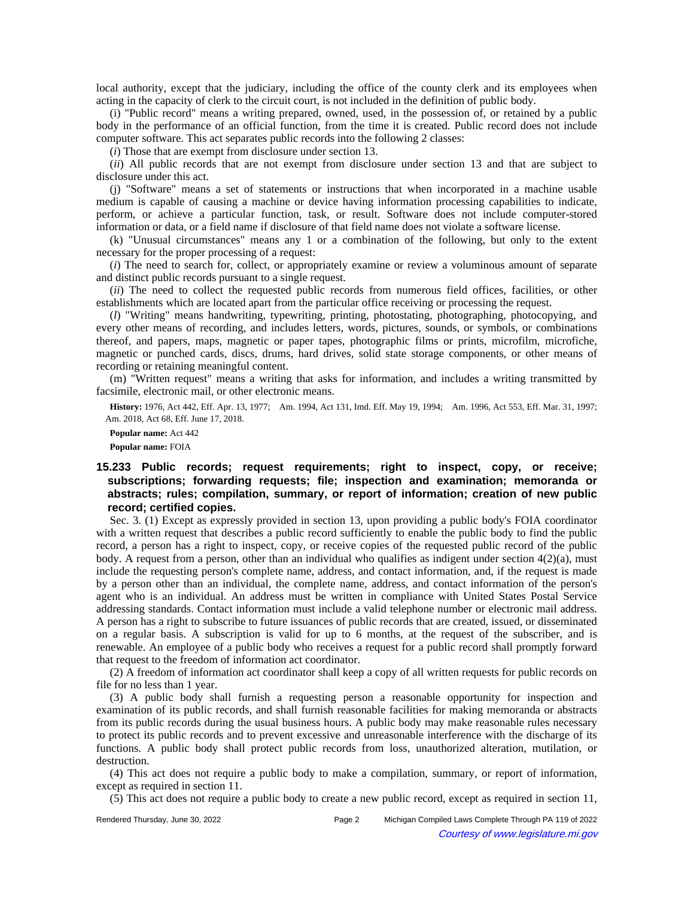local authority, except that the judiciary, including the office of the county clerk and its employees when acting in the capacity of clerk to the circuit court, is not included in the definition of public body.

(i) "Public record" means a writing prepared, owned, used, in the possession of, or retained by a public body in the performance of an official function, from the time it is created. Public record does not include computer software. This act separates public records into the following 2 classes:

(*i*) Those that are exempt from disclosure under section 13.

(*ii*) All public records that are not exempt from disclosure under section 13 and that are subject to disclosure under this act.

(j) "Software" means a set of statements or instructions that when incorporated in a machine usable medium is capable of causing a machine or device having information processing capabilities to indicate, perform, or achieve a particular function, task, or result. Software does not include computer-stored information or data, or a field name if disclosure of that field name does not violate a software license.

(k) "Unusual circumstances" means any 1 or a combination of the following, but only to the extent necessary for the proper processing of a request:

(*i*) The need to search for, collect, or appropriately examine or review a voluminous amount of separate and distinct public records pursuant to a single request.

(*ii*) The need to collect the requested public records from numerous field offices, facilities, or other establishments which are located apart from the particular office receiving or processing the request.

(*l*) "Writing" means handwriting, typewriting, printing, photostating, photographing, photocopying, and every other means of recording, and includes letters, words, pictures, sounds, or symbols, or combinations thereof, and papers, maps, magnetic or paper tapes, photographic films or prints, microfilm, microfiche, magnetic or punched cards, discs, drums, hard drives, solid state storage components, or other means of recording or retaining meaningful content.

(m) "Written request" means a writing that asks for information, and includes a writing transmitted by facsimile, electronic mail, or other electronic means.

History: 1976, Act 442, Eff. Apr. 13, 1977;--Am. 1994, Act 131, Imd. Eff. May 19, 1994;--Am. 1996, Act 553, Eff. Mar. 31, 1997; Am. 2018, Act 68, Eff. June 17, 2018.

**Popular name:** Act 442 **Popular name:** FOIA

# **15.233 Public records; request requirements; right to inspect, copy, or receive; subscriptions; forwarding requests; file; inspection and examination; memoranda or abstracts; rules; compilation, summary, or report of information; creation of new public record; certified copies.**

Sec. 3. (1) Except as expressly provided in section 13, upon providing a public body's FOIA coordinator with a written request that describes a public record sufficiently to enable the public body to find the public record, a person has a right to inspect, copy, or receive copies of the requested public record of the public body. A request from a person, other than an individual who qualifies as indigent under section  $4(2)(a)$ , must include the requesting person's complete name, address, and contact information, and, if the request is made by a person other than an individual, the complete name, address, and contact information of the person's agent who is an individual. An address must be written in compliance with United States Postal Service addressing standards. Contact information must include a valid telephone number or electronic mail address. A person has a right to subscribe to future issuances of public records that are created, issued, or disseminated on a regular basis. A subscription is valid for up to 6 months, at the request of the subscriber, and is renewable. An employee of a public body who receives a request for a public record shall promptly forward that request to the freedom of information act coordinator.

(2) A freedom of information act coordinator shall keep a copy of all written requests for public records on file for no less than 1 year.

(3) A public body shall furnish a requesting person a reasonable opportunity for inspection and examination of its public records, and shall furnish reasonable facilities for making memoranda or abstracts from its public records during the usual business hours. A public body may make reasonable rules necessary to protect its public records and to prevent excessive and unreasonable interference with the discharge of its functions. A public body shall protect public records from loss, unauthorized alteration, mutilation, or destruction.

(4) This act does not require a public body to make a compilation, summary, or report of information, except as required in section 11.

(5) This act does not require a public body to create a new public record, except as required in section 11,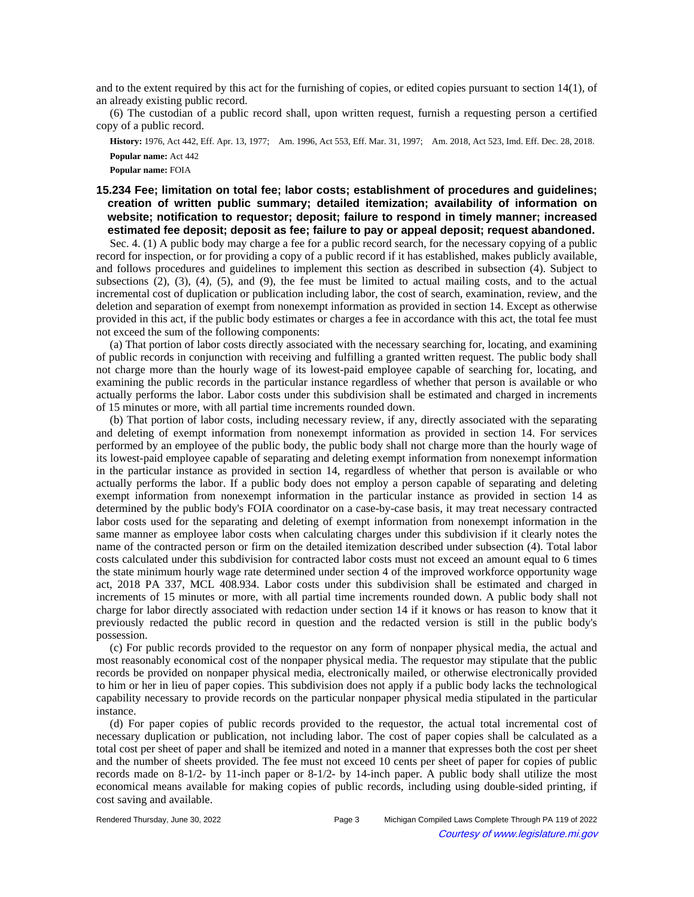and to the extent required by this act for the furnishing of copies, or edited copies pursuant to section 14(1), of an already existing public record.

(6) The custodian of a public record shall, upon written request, furnish a requesting person a certified copy of a public record.

History: 1976, Act 442, Eff. Apr. 13, 1977;—Am. 1996, Act 553, Eff. Mar. 31, 1997;—Am. 2018, Act 523, Imd. Eff. Dec. 28, 2018. **Popular name:** Act 442

**Popular name:** FOIA

**15.234 Fee; limitation on total fee; labor costs; establishment of procedures and guidelines; creation of written public summary; detailed itemization; availability of information on website; notification to requestor; deposit; failure to respond in timely manner; increased estimated fee deposit; deposit as fee; failure to pay or appeal deposit; request abandoned.**

Sec. 4. (1) A public body may charge a fee for a public record search, for the necessary copying of a public record for inspection, or for providing a copy of a public record if it has established, makes publicly available, and follows procedures and guidelines to implement this section as described in subsection (4). Subject to subsections (2), (3), (4), (5), and (9), the fee must be limited to actual mailing costs, and to the actual incremental cost of duplication or publication including labor, the cost of search, examination, review, and the deletion and separation of exempt from nonexempt information as provided in section 14. Except as otherwise provided in this act, if the public body estimates or charges a fee in accordance with this act, the total fee must not exceed the sum of the following components:

(a) That portion of labor costs directly associated with the necessary searching for, locating, and examining of public records in conjunction with receiving and fulfilling a granted written request. The public body shall not charge more than the hourly wage of its lowest-paid employee capable of searching for, locating, and examining the public records in the particular instance regardless of whether that person is available or who actually performs the labor. Labor costs under this subdivision shall be estimated and charged in increments of 15 minutes or more, with all partial time increments rounded down.

(b) That portion of labor costs, including necessary review, if any, directly associated with the separating and deleting of exempt information from nonexempt information as provided in section 14. For services performed by an employee of the public body, the public body shall not charge more than the hourly wage of its lowest-paid employee capable of separating and deleting exempt information from nonexempt information in the particular instance as provided in section 14, regardless of whether that person is available or who actually performs the labor. If a public body does not employ a person capable of separating and deleting exempt information from nonexempt information in the particular instance as provided in section 14 as determined by the public body's FOIA coordinator on a case-by-case basis, it may treat necessary contracted labor costs used for the separating and deleting of exempt information from nonexempt information in the same manner as employee labor costs when calculating charges under this subdivision if it clearly notes the name of the contracted person or firm on the detailed itemization described under subsection (4). Total labor costs calculated under this subdivision for contracted labor costs must not exceed an amount equal to 6 times the state minimum hourly wage rate determined under section 4 of the improved workforce opportunity wage act, 2018 PA 337, MCL 408.934. Labor costs under this subdivision shall be estimated and charged in increments of 15 minutes or more, with all partial time increments rounded down. A public body shall not charge for labor directly associated with redaction under section 14 if it knows or has reason to know that it previously redacted the public record in question and the redacted version is still in the public body's possession.

(c) For public records provided to the requestor on any form of nonpaper physical media, the actual and most reasonably economical cost of the nonpaper physical media. The requestor may stipulate that the public records be provided on nonpaper physical media, electronically mailed, or otherwise electronically provided to him or her in lieu of paper copies. This subdivision does not apply if a public body lacks the technological capability necessary to provide records on the particular nonpaper physical media stipulated in the particular instance.

(d) For paper copies of public records provided to the requestor, the actual total incremental cost of necessary duplication or publication, not including labor. The cost of paper copies shall be calculated as a total cost per sheet of paper and shall be itemized and noted in a manner that expresses both the cost per sheet and the number of sheets provided. The fee must not exceed 10 cents per sheet of paper for copies of public records made on 8-1/2- by 11-inch paper or 8-1/2- by 14-inch paper. A public body shall utilize the most economical means available for making copies of public records, including using double-sided printing, if cost saving and available.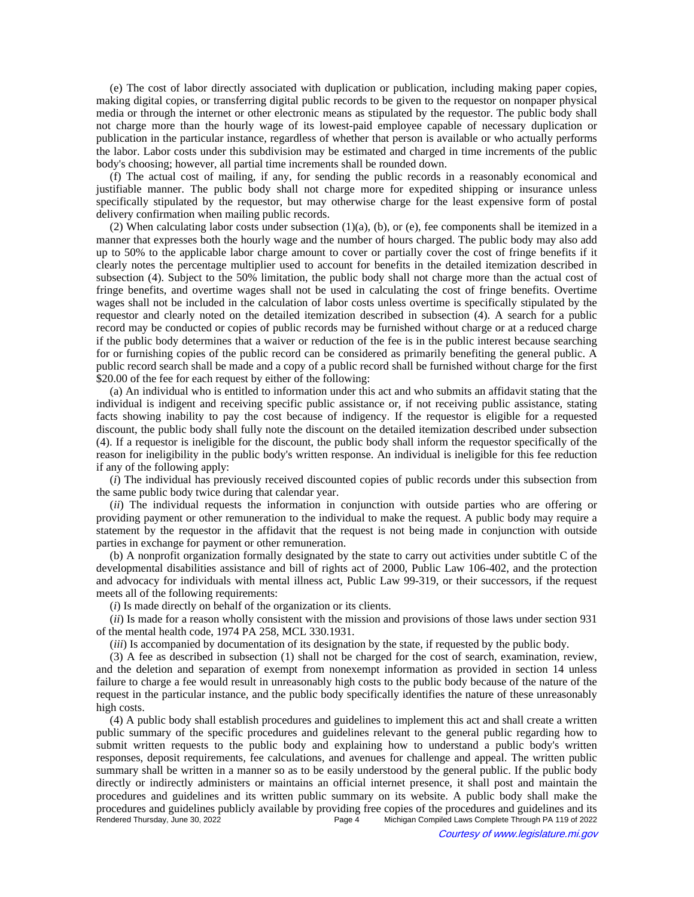(e) The cost of labor directly associated with duplication or publication, including making paper copies, making digital copies, or transferring digital public records to be given to the requestor on nonpaper physical media or through the internet or other electronic means as stipulated by the requestor. The public body shall not charge more than the hourly wage of its lowest-paid employee capable of necessary duplication or publication in the particular instance, regardless of whether that person is available or who actually performs the labor. Labor costs under this subdivision may be estimated and charged in time increments of the public body's choosing; however, all partial time increments shall be rounded down.

(f) The actual cost of mailing, if any, for sending the public records in a reasonably economical and justifiable manner. The public body shall not charge more for expedited shipping or insurance unless specifically stipulated by the requestor, but may otherwise charge for the least expensive form of postal delivery confirmation when mailing public records.

(2) When calculating labor costs under subsection  $(1)(a)$ ,  $(b)$ , or  $(e)$ , fee components shall be itemized in a manner that expresses both the hourly wage and the number of hours charged. The public body may also add up to 50% to the applicable labor charge amount to cover or partially cover the cost of fringe benefits if it clearly notes the percentage multiplier used to account for benefits in the detailed itemization described in subsection (4). Subject to the 50% limitation, the public body shall not charge more than the actual cost of fringe benefits, and overtime wages shall not be used in calculating the cost of fringe benefits. Overtime wages shall not be included in the calculation of labor costs unless overtime is specifically stipulated by the requestor and clearly noted on the detailed itemization described in subsection (4). A search for a public record may be conducted or copies of public records may be furnished without charge or at a reduced charge if the public body determines that a waiver or reduction of the fee is in the public interest because searching for or furnishing copies of the public record can be considered as primarily benefiting the general public. A public record search shall be made and a copy of a public record shall be furnished without charge for the first \$20.00 of the fee for each request by either of the following:

(a) An individual who is entitled to information under this act and who submits an affidavit stating that the individual is indigent and receiving specific public assistance or, if not receiving public assistance, stating facts showing inability to pay the cost because of indigency. If the requestor is eligible for a requested discount, the public body shall fully note the discount on the detailed itemization described under subsection (4). If a requestor is ineligible for the discount, the public body shall inform the requestor specifically of the reason for ineligibility in the public body's written response. An individual is ineligible for this fee reduction if any of the following apply:

(*i*) The individual has previously received discounted copies of public records under this subsection from the same public body twice during that calendar year.

(*ii*) The individual requests the information in conjunction with outside parties who are offering or providing payment or other remuneration to the individual to make the request. A public body may require a statement by the requestor in the affidavit that the request is not being made in conjunction with outside parties in exchange for payment or other remuneration.

(b) A nonprofit organization formally designated by the state to carry out activities under subtitle C of the developmental disabilities assistance and bill of rights act of 2000, Public Law 106-402, and the protection and advocacy for individuals with mental illness act, Public Law 99-319, or their successors, if the request meets all of the following requirements:

(*i*) Is made directly on behalf of the organization or its clients.

(*ii*) Is made for a reason wholly consistent with the mission and provisions of those laws under section 931 of the mental health code, 1974 PA 258, MCL 330.1931.

(*iii*) Is accompanied by documentation of its designation by the state, if requested by the public body.

(3) A fee as described in subsection (1) shall not be charged for the cost of search, examination, review, and the deletion and separation of exempt from nonexempt information as provided in section 14 unless failure to charge a fee would result in unreasonably high costs to the public body because of the nature of the request in the particular instance, and the public body specifically identifies the nature of these unreasonably high costs.

(4) A public body shall establish procedures and guidelines to implement this act and shall create a written public summary of the specific procedures and guidelines relevant to the general public regarding how to submit written requests to the public body and explaining how to understand a public body's written responses, deposit requirements, fee calculations, and avenues for challenge and appeal. The written public summary shall be written in a manner so as to be easily understood by the general public. If the public body directly or indirectly administers or maintains an official internet presence, it shall post and maintain the procedures and guidelines and its written public summary on its website. A public body shall make the procedures and guidelines publicly available by providing free copies of the procedures and guidelines and its<br>Page 4 Michigan Compiled Laws Complete Through PA 119 of 2022 Michigan Compiled Laws Complete Through PA 119 of 2022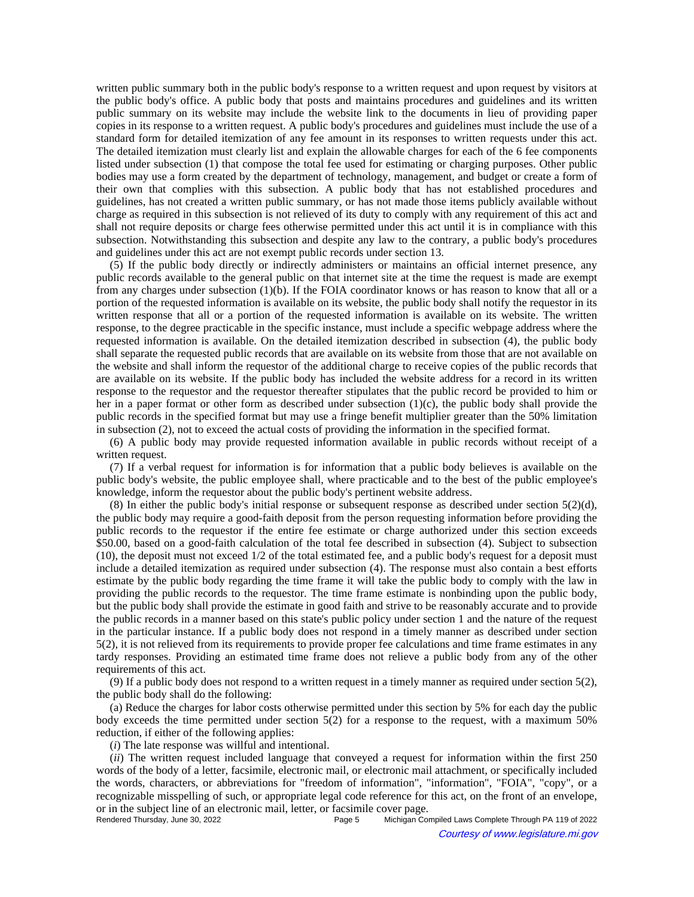written public summary both in the public body's response to a written request and upon request by visitors at the public body's office. A public body that posts and maintains procedures and guidelines and its written public summary on its website may include the website link to the documents in lieu of providing paper copies in its response to a written request. A public body's procedures and guidelines must include the use of a standard form for detailed itemization of any fee amount in its responses to written requests under this act. The detailed itemization must clearly list and explain the allowable charges for each of the 6 fee components listed under subsection (1) that compose the total fee used for estimating or charging purposes. Other public bodies may use a form created by the department of technology, management, and budget or create a form of their own that complies with this subsection. A public body that has not established procedures and guidelines, has not created a written public summary, or has not made those items publicly available without charge as required in this subsection is not relieved of its duty to comply with any requirement of this act and shall not require deposits or charge fees otherwise permitted under this act until it is in compliance with this subsection. Notwithstanding this subsection and despite any law to the contrary, a public body's procedures and guidelines under this act are not exempt public records under section 13.

(5) If the public body directly or indirectly administers or maintains an official internet presence, any public records available to the general public on that internet site at the time the request is made are exempt from any charges under subsection (1)(b). If the FOIA coordinator knows or has reason to know that all or a portion of the requested information is available on its website, the public body shall notify the requestor in its written response that all or a portion of the requested information is available on its website. The written response, to the degree practicable in the specific instance, must include a specific webpage address where the requested information is available. On the detailed itemization described in subsection (4), the public body shall separate the requested public records that are available on its website from those that are not available on the website and shall inform the requestor of the additional charge to receive copies of the public records that are available on its website. If the public body has included the website address for a record in its written response to the requestor and the requestor thereafter stipulates that the public record be provided to him or her in a paper format or other form as described under subsection (1)(c), the public body shall provide the public records in the specified format but may use a fringe benefit multiplier greater than the 50% limitation in subsection (2), not to exceed the actual costs of providing the information in the specified format.

(6) A public body may provide requested information available in public records without receipt of a written request.

(7) If a verbal request for information is for information that a public body believes is available on the public body's website, the public employee shall, where practicable and to the best of the public employee's knowledge, inform the requestor about the public body's pertinent website address.

(8) In either the public body's initial response or subsequent response as described under section 5(2)(d), the public body may require a good-faith deposit from the person requesting information before providing the public records to the requestor if the entire fee estimate or charge authorized under this section exceeds \$50.00, based on a good-faith calculation of the total fee described in subsection (4). Subject to subsection (10), the deposit must not exceed 1/2 of the total estimated fee, and a public body's request for a deposit must include a detailed itemization as required under subsection (4). The response must also contain a best efforts estimate by the public body regarding the time frame it will take the public body to comply with the law in providing the public records to the requestor. The time frame estimate is nonbinding upon the public body, but the public body shall provide the estimate in good faith and strive to be reasonably accurate and to provide the public records in a manner based on this state's public policy under section 1 and the nature of the request in the particular instance. If a public body does not respond in a timely manner as described under section 5(2), it is not relieved from its requirements to provide proper fee calculations and time frame estimates in any tardy responses. Providing an estimated time frame does not relieve a public body from any of the other requirements of this act.

(9) If a public body does not respond to a written request in a timely manner as required under section 5(2), the public body shall do the following:

(a) Reduce the charges for labor costs otherwise permitted under this section by 5% for each day the public body exceeds the time permitted under section 5(2) for a response to the request, with a maximum 50% reduction, if either of the following applies:

(*i*) The late response was willful and intentional.

(*ii*) The written request included language that conveyed a request for information within the first 250 words of the body of a letter, facsimile, electronic mail, or electronic mail attachment, or specifically included the words, characters, or abbreviations for "freedom of information", "information", "FOIA", "copy", or a recognizable misspelling of such, or appropriate legal code reference for this act, on the front of an envelope, or in the subject line of an electronic mail, letter, or facsimile cover page.

Michigan Compiled Laws Complete Through PA 119 of 2022 Courtesy of www.legislature.mi.gov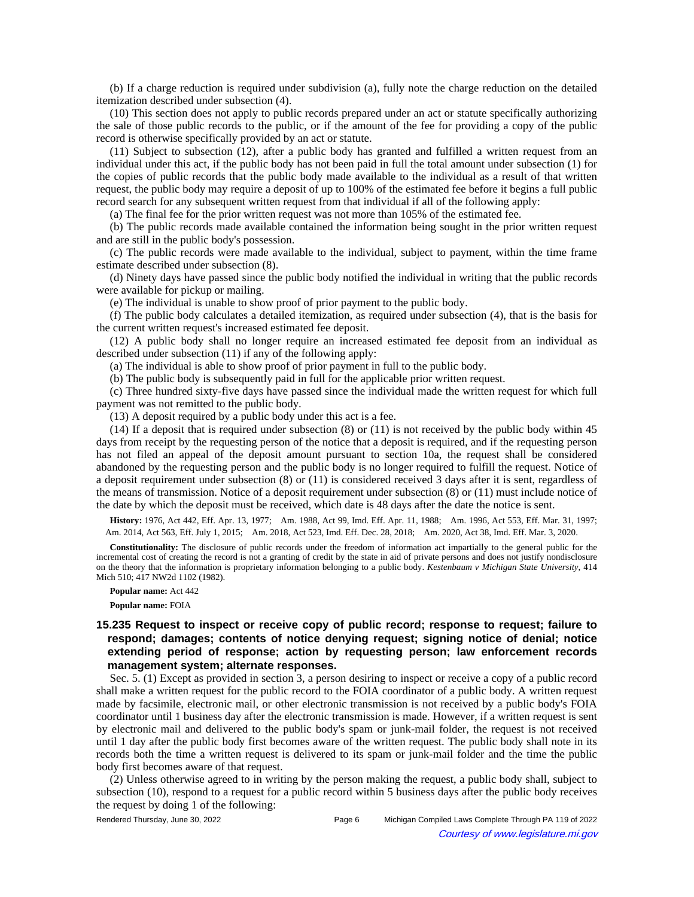(b) If a charge reduction is required under subdivision (a), fully note the charge reduction on the detailed itemization described under subsection (4).

(10) This section does not apply to public records prepared under an act or statute specifically authorizing the sale of those public records to the public, or if the amount of the fee for providing a copy of the public record is otherwise specifically provided by an act or statute.

(11) Subject to subsection (12), after a public body has granted and fulfilled a written request from an individual under this act, if the public body has not been paid in full the total amount under subsection (1) for the copies of public records that the public body made available to the individual as a result of that written request, the public body may require a deposit of up to 100% of the estimated fee before it begins a full public record search for any subsequent written request from that individual if all of the following apply:

(a) The final fee for the prior written request was not more than 105% of the estimated fee.

(b) The public records made available contained the information being sought in the prior written request and are still in the public body's possession.

(c) The public records were made available to the individual, subject to payment, within the time frame estimate described under subsection (8).

(d) Ninety days have passed since the public body notified the individual in writing that the public records were available for pickup or mailing.

(e) The individual is unable to show proof of prior payment to the public body.

(f) The public body calculates a detailed itemization, as required under subsection (4), that is the basis for the current written request's increased estimated fee deposit.

(12) A public body shall no longer require an increased estimated fee deposit from an individual as described under subsection (11) if any of the following apply:

(a) The individual is able to show proof of prior payment in full to the public body.

(b) The public body is subsequently paid in full for the applicable prior written request.

(c) Three hundred sixty-five days have passed since the individual made the written request for which full payment was not remitted to the public body.

(13) A deposit required by a public body under this act is a fee.

(14) If a deposit that is required under subsection (8) or (11) is not received by the public body within 45 days from receipt by the requesting person of the notice that a deposit is required, and if the requesting person has not filed an appeal of the deposit amount pursuant to section 10a, the request shall be considered abandoned by the requesting person and the public body is no longer required to fulfill the request. Notice of a deposit requirement under subsection (8) or (11) is considered received 3 days after it is sent, regardless of the means of transmission. Notice of a deposit requirement under subsection (8) or (11) must include notice of the date by which the deposit must be received, which date is 48 days after the date the notice is sent.

History: 1976, Act 442, Eff. Apr. 13, 1977;—Am. 1988, Act 99, Imd. Eff. Apr. 11, 1988;—Am. 1996, Act 553, Eff. Mar. 31, 1997; -Am. 2014, Act 563, Eff. July 1, 2015;-Am. 2018, Act 523, Imd. Eff. Dec. 28, 2018;-Am. 2020, Act 38, Imd. Eff. Mar. 3, 2020.

**Constitutionality:** The disclosure of public records under the freedom of information act impartially to the general public for the incremental cost of creating the record is not a granting of credit by the state in aid of private persons and does not justify nondisclosure on the theory that the information is proprietary information belonging to a public body. *Kestenbaum v Michigan State University*, 414 Mich 510; 417 NW2d 1102 (1982).

**Popular name:** Act 442

**Popular name:** FOIA

# **15.235 Request to inspect or receive copy of public record; response to request; failure to respond; damages; contents of notice denying request; signing notice of denial; notice extending period of response; action by requesting person; law enforcement records management system; alternate responses.**

Sec. 5. (1) Except as provided in section 3, a person desiring to inspect or receive a copy of a public record shall make a written request for the public record to the FOIA coordinator of a public body. A written request made by facsimile, electronic mail, or other electronic transmission is not received by a public body's FOIA coordinator until 1 business day after the electronic transmission is made. However, if a written request is sent by electronic mail and delivered to the public body's spam or junk-mail folder, the request is not received until 1 day after the public body first becomes aware of the written request. The public body shall note in its records both the time a written request is delivered to its spam or junk-mail folder and the time the public body first becomes aware of that request.

(2) Unless otherwise agreed to in writing by the person making the request, a public body shall, subject to subsection (10), respond to a request for a public record within 5 business days after the public body receives the request by doing 1 of the following: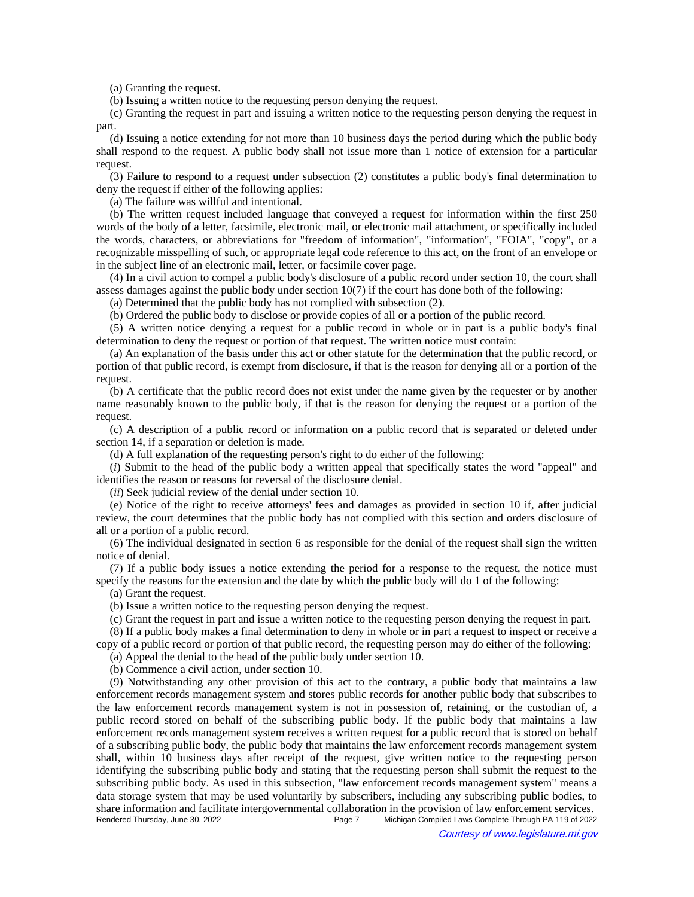(a) Granting the request.

(b) Issuing a written notice to the requesting person denying the request.

(c) Granting the request in part and issuing a written notice to the requesting person denying the request in part.

(d) Issuing a notice extending for not more than 10 business days the period during which the public body shall respond to the request. A public body shall not issue more than 1 notice of extension for a particular request.

(3) Failure to respond to a request under subsection (2) constitutes a public body's final determination to deny the request if either of the following applies:

(a) The failure was willful and intentional.

(b) The written request included language that conveyed a request for information within the first 250 words of the body of a letter, facsimile, electronic mail, or electronic mail attachment, or specifically included the words, characters, or abbreviations for "freedom of information", "information", "FOIA", "copy", or a recognizable misspelling of such, or appropriate legal code reference to this act, on the front of an envelope or in the subject line of an electronic mail, letter, or facsimile cover page.

(4) In a civil action to compel a public body's disclosure of a public record under section 10, the court shall assess damages against the public body under section 10(7) if the court has done both of the following:

(a) Determined that the public body has not complied with subsection (2).

(b) Ordered the public body to disclose or provide copies of all or a portion of the public record.

(5) A written notice denying a request for a public record in whole or in part is a public body's final determination to deny the request or portion of that request. The written notice must contain:

(a) An explanation of the basis under this act or other statute for the determination that the public record, or portion of that public record, is exempt from disclosure, if that is the reason for denying all or a portion of the request.

(b) A certificate that the public record does not exist under the name given by the requester or by another name reasonably known to the public body, if that is the reason for denying the request or a portion of the request.

(c) A description of a public record or information on a public record that is separated or deleted under section 14, if a separation or deletion is made.

(d) A full explanation of the requesting person's right to do either of the following:

(*i*) Submit to the head of the public body a written appeal that specifically states the word "appeal" and identifies the reason or reasons for reversal of the disclosure denial.

(*ii*) Seek judicial review of the denial under section 10.

(e) Notice of the right to receive attorneys' fees and damages as provided in section 10 if, after judicial review, the court determines that the public body has not complied with this section and orders disclosure of all or a portion of a public record.

(6) The individual designated in section 6 as responsible for the denial of the request shall sign the written notice of denial.

(7) If a public body issues a notice extending the period for a response to the request, the notice must specify the reasons for the extension and the date by which the public body will do 1 of the following:

(a) Grant the request.

(b) Issue a written notice to the requesting person denying the request.

(c) Grant the request in part and issue a written notice to the requesting person denying the request in part.

(8) If a public body makes a final determination to deny in whole or in part a request to inspect or receive a copy of a public record or portion of that public record, the requesting person may do either of the following:

(a) Appeal the denial to the head of the public body under section 10.

(b) Commence a civil action, under section 10.

(9) Notwithstanding any other provision of this act to the contrary, a public body that maintains a law enforcement records management system and stores public records for another public body that subscribes to the law enforcement records management system is not in possession of, retaining, or the custodian of, a public record stored on behalf of the subscribing public body. If the public body that maintains a law enforcement records management system receives a written request for a public record that is stored on behalf of a subscribing public body, the public body that maintains the law enforcement records management system shall, within 10 business days after receipt of the request, give written notice to the requesting person identifying the subscribing public body and stating that the requesting person shall submit the request to the subscribing public body. As used in this subsection, "law enforcement records management system" means a data storage system that may be used voluntarily by subscribers, including any subscribing public bodies, to share information and facilitate intergovernmental collaboration in the provision of law enforcement services.<br>Page 7 Michigan Compiled Laws Complete Through PA 119 of 2022 Michigan Compiled Laws Complete Through PA 119 of 2022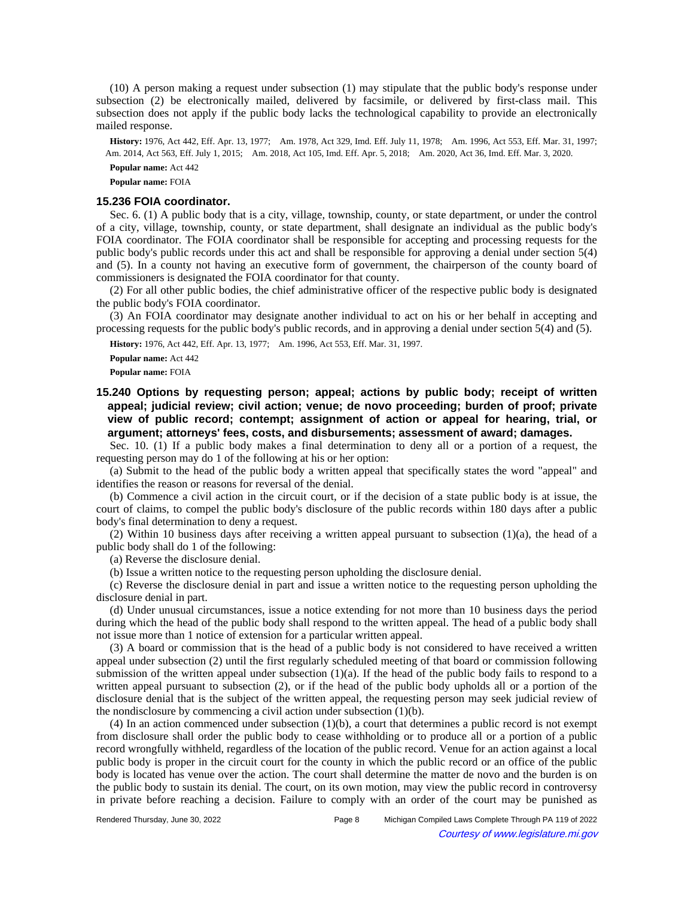(10) A person making a request under subsection (1) may stipulate that the public body's response under subsection (2) be electronically mailed, delivered by facsimile, or delivered by first-class mail. This subsection does not apply if the public body lacks the technological capability to provide an electronically mailed response.

History: 1976, Act 442, Eff. Apr. 13, 1977;—Am. 1978, Act 329, Imd. Eff. July 11, 1978;—Am. 1996, Act 553, Eff. Mar. 31, 1997; -Am. 2014, Act 563, Eff. July 1, 2015;--Am. 2018, Act 105, Imd. Eff. Apr. 5, 2018;--Am. 2020, Act 36, Imd. Eff. Mar. 3, 2020.

**Popular name:** Act 442

**Popular name:** FOIA

### **15.236 FOIA coordinator.**

Sec. 6. (1) A public body that is a city, village, township, county, or state department, or under the control of a city, village, township, county, or state department, shall designate an individual as the public body's FOIA coordinator. The FOIA coordinator shall be responsible for accepting and processing requests for the public body's public records under this act and shall be responsible for approving a denial under section 5(4) and (5). In a county not having an executive form of government, the chairperson of the county board of commissioners is designated the FOIA coordinator for that county.

(2) For all other public bodies, the chief administrative officer of the respective public body is designated the public body's FOIA coordinator.

(3) An FOIA coordinator may designate another individual to act on his or her behalf in accepting and processing requests for the public body's public records, and in approving a denial under section 5(4) and (5).

History: 1976, Act 442, Eff. Apr. 13, 1977;--- Am. 1996, Act 553, Eff. Mar. 31, 1997.

**Popular name:** Act 442 **Popular name:** FOIA

**15.240 Options by requesting person; appeal; actions by public body; receipt of written appeal; judicial review; civil action; venue; de novo proceeding; burden of proof; private view of public record; contempt; assignment of action or appeal for hearing, trial, or argument; attorneys' fees, costs, and disbursements; assessment of award; damages.**

Sec. 10. (1) If a public body makes a final determination to deny all or a portion of a request, the requesting person may do 1 of the following at his or her option:

(a) Submit to the head of the public body a written appeal that specifically states the word "appeal" and identifies the reason or reasons for reversal of the denial.

(b) Commence a civil action in the circuit court, or if the decision of a state public body is at issue, the court of claims, to compel the public body's disclosure of the public records within 180 days after a public body's final determination to deny a request.

(2) Within 10 business days after receiving a written appeal pursuant to subsection (1)(a), the head of a public body shall do 1 of the following:

(a) Reverse the disclosure denial.

(b) Issue a written notice to the requesting person upholding the disclosure denial.

(c) Reverse the disclosure denial in part and issue a written notice to the requesting person upholding the disclosure denial in part.

(d) Under unusual circumstances, issue a notice extending for not more than 10 business days the period during which the head of the public body shall respond to the written appeal. The head of a public body shall not issue more than 1 notice of extension for a particular written appeal.

(3) A board or commission that is the head of a public body is not considered to have received a written appeal under subsection (2) until the first regularly scheduled meeting of that board or commission following submission of the written appeal under subsection  $(1)(a)$ . If the head of the public body fails to respond to a written appeal pursuant to subsection (2), or if the head of the public body upholds all or a portion of the disclosure denial that is the subject of the written appeal, the requesting person may seek judicial review of the nondisclosure by commencing a civil action under subsection (1)(b).

(4) In an action commenced under subsection (1)(b), a court that determines a public record is not exempt from disclosure shall order the public body to cease withholding or to produce all or a portion of a public record wrongfully withheld, regardless of the location of the public record. Venue for an action against a local public body is proper in the circuit court for the county in which the public record or an office of the public body is located has venue over the action. The court shall determine the matter de novo and the burden is on the public body to sustain its denial. The court, on its own motion, may view the public record in controversy in private before reaching a decision. Failure to comply with an order of the court may be punished as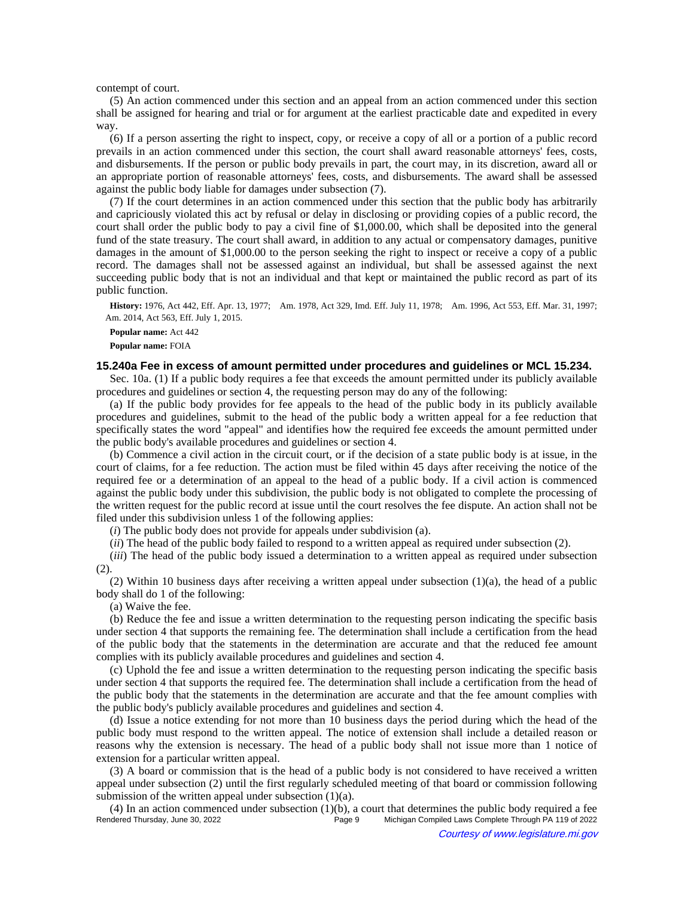contempt of court.

(5) An action commenced under this section and an appeal from an action commenced under this section shall be assigned for hearing and trial or for argument at the earliest practicable date and expedited in every way.

(6) If a person asserting the right to inspect, copy, or receive a copy of all or a portion of a public record prevails in an action commenced under this section, the court shall award reasonable attorneys' fees, costs, and disbursements. If the person or public body prevails in part, the court may, in its discretion, award all or an appropriate portion of reasonable attorneys' fees, costs, and disbursements. The award shall be assessed against the public body liable for damages under subsection (7).

(7) If the court determines in an action commenced under this section that the public body has arbitrarily and capriciously violated this act by refusal or delay in disclosing or providing copies of a public record, the court shall order the public body to pay a civil fine of \$1,000.00, which shall be deposited into the general fund of the state treasury. The court shall award, in addition to any actual or compensatory damages, punitive damages in the amount of \$1,000.00 to the person seeking the right to inspect or receive a copy of a public record. The damages shall not be assessed against an individual, but shall be assessed against the next succeeding public body that is not an individual and that kept or maintained the public record as part of its public function.

History: 1976, Act 442, Eff. Apr. 13, 1977;--Am. 1978, Act 329, Imd. Eff. July 11, 1978;--Am. 1996, Act 553, Eff. Mar. 31, 1997; Am. 2014, Act 563, Eff. July 1, 2015.

**Popular name:** Act 442 **Popular name:** FOIA

#### **15.240a Fee in excess of amount permitted under procedures and guidelines or MCL 15.234.**

Sec. 10a. (1) If a public body requires a fee that exceeds the amount permitted under its publicly available procedures and guidelines or section 4, the requesting person may do any of the following:

(a) If the public body provides for fee appeals to the head of the public body in its publicly available procedures and guidelines, submit to the head of the public body a written appeal for a fee reduction that specifically states the word "appeal" and identifies how the required fee exceeds the amount permitted under the public body's available procedures and guidelines or section 4.

(b) Commence a civil action in the circuit court, or if the decision of a state public body is at issue, in the court of claims, for a fee reduction. The action must be filed within 45 days after receiving the notice of the required fee or a determination of an appeal to the head of a public body. If a civil action is commenced against the public body under this subdivision, the public body is not obligated to complete the processing of the written request for the public record at issue until the court resolves the fee dispute. An action shall not be filed under this subdivision unless 1 of the following applies:

(*i*) The public body does not provide for appeals under subdivision (a).

(*ii*) The head of the public body failed to respond to a written appeal as required under subsection (2).

(*iii*) The head of the public body issued a determination to a written appeal as required under subsection (2).

(2) Within 10 business days after receiving a written appeal under subsection  $(1)(a)$ , the head of a public body shall do 1 of the following:

(a) Waive the fee.

(b) Reduce the fee and issue a written determination to the requesting person indicating the specific basis under section 4 that supports the remaining fee. The determination shall include a certification from the head of the public body that the statements in the determination are accurate and that the reduced fee amount complies with its publicly available procedures and guidelines and section 4.

(c) Uphold the fee and issue a written determination to the requesting person indicating the specific basis under section 4 that supports the required fee. The determination shall include a certification from the head of the public body that the statements in the determination are accurate and that the fee amount complies with the public body's publicly available procedures and guidelines and section 4.

(d) Issue a notice extending for not more than 10 business days the period during which the head of the public body must respond to the written appeal. The notice of extension shall include a detailed reason or reasons why the extension is necessary. The head of a public body shall not issue more than 1 notice of extension for a particular written appeal.

(3) A board or commission that is the head of a public body is not considered to have received a written appeal under subsection (2) until the first regularly scheduled meeting of that board or commission following submission of the written appeal under subsection (1)(a).

(4) In an action commenced under subsection  $(1)(b)$ , a court that determines the public body required a fee<br>Rendered Thursday, June 30, 2022<br>Page 9 Michigan Compiled Laws Complete Through PA 119 of 2022 Michigan Compiled Laws Complete Through PA 119 of 2022 Courtesy of www.legislature.mi.gov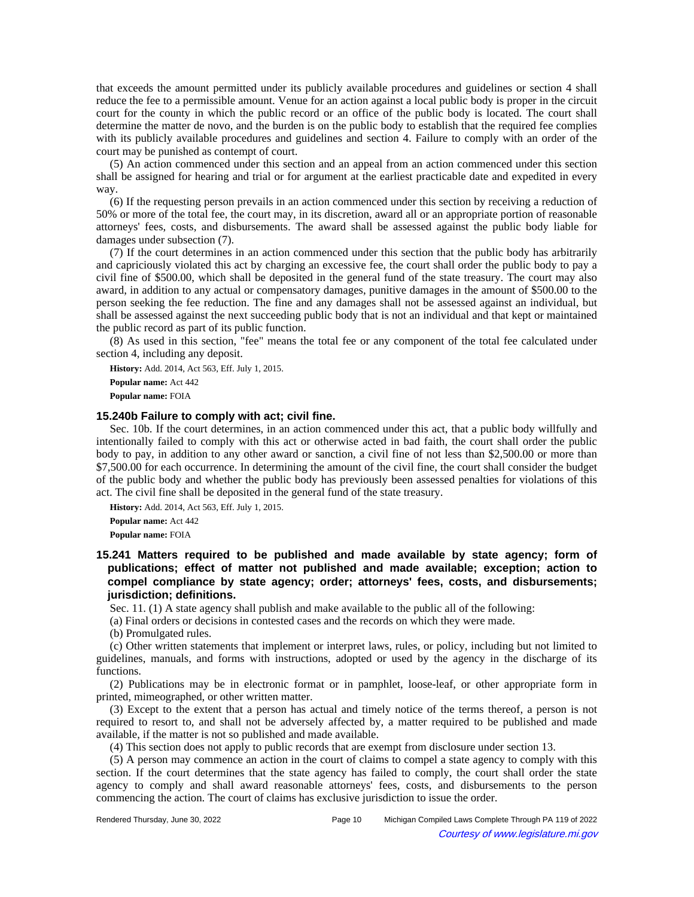that exceeds the amount permitted under its publicly available procedures and guidelines or section 4 shall reduce the fee to a permissible amount. Venue for an action against a local public body is proper in the circuit court for the county in which the public record or an office of the public body is located. The court shall determine the matter de novo, and the burden is on the public body to establish that the required fee complies with its publicly available procedures and guidelines and section 4. Failure to comply with an order of the court may be punished as contempt of court.

(5) An action commenced under this section and an appeal from an action commenced under this section shall be assigned for hearing and trial or for argument at the earliest practicable date and expedited in every way.

(6) If the requesting person prevails in an action commenced under this section by receiving a reduction of 50% or more of the total fee, the court may, in its discretion, award all or an appropriate portion of reasonable attorneys' fees, costs, and disbursements. The award shall be assessed against the public body liable for damages under subsection (7).

(7) If the court determines in an action commenced under this section that the public body has arbitrarily and capriciously violated this act by charging an excessive fee, the court shall order the public body to pay a civil fine of \$500.00, which shall be deposited in the general fund of the state treasury. The court may also award, in addition to any actual or compensatory damages, punitive damages in the amount of \$500.00 to the person seeking the fee reduction. The fine and any damages shall not be assessed against an individual, but shall be assessed against the next succeeding public body that is not an individual and that kept or maintained the public record as part of its public function.

(8) As used in this section, "fee" means the total fee or any component of the total fee calculated under section 4, including any deposit.

**History:** Add. 2014, Act 563, Eff. July 1, 2015.

**Popular name:** Act 442 **Popular name:** FOIA

#### **15.240b Failure to comply with act; civil fine.**

Sec. 10b. If the court determines, in an action commenced under this act, that a public body willfully and intentionally failed to comply with this act or otherwise acted in bad faith, the court shall order the public body to pay, in addition to any other award or sanction, a civil fine of not less than \$2,500.00 or more than \$7,500.00 for each occurrence. In determining the amount of the civil fine, the court shall consider the budget of the public body and whether the public body has previously been assessed penalties for violations of this act. The civil fine shall be deposited in the general fund of the state treasury.

**History:** Add. 2014, Act 563, Eff. July 1, 2015. **Popular name:** Act 442 **Popular name:** FOIA

**15.241 Matters required to be published and made available by state agency; form of publications; effect of matter not published and made available; exception; action to compel compliance by state agency; order; attorneys' fees, costs, and disbursements; jurisdiction; definitions.**

Sec. 11. (1) A state agency shall publish and make available to the public all of the following:

(a) Final orders or decisions in contested cases and the records on which they were made.

(b) Promulgated rules.

(c) Other written statements that implement or interpret laws, rules, or policy, including but not limited to guidelines, manuals, and forms with instructions, adopted or used by the agency in the discharge of its functions.

(2) Publications may be in electronic format or in pamphlet, loose-leaf, or other appropriate form in printed, mimeographed, or other written matter.

(3) Except to the extent that a person has actual and timely notice of the terms thereof, a person is not required to resort to, and shall not be adversely affected by, a matter required to be published and made available, if the matter is not so published and made available.

(4) This section does not apply to public records that are exempt from disclosure under section 13.

(5) A person may commence an action in the court of claims to compel a state agency to comply with this section. If the court determines that the state agency has failed to comply, the court shall order the state agency to comply and shall award reasonable attorneys' fees, costs, and disbursements to the person commencing the action. The court of claims has exclusive jurisdiction to issue the order.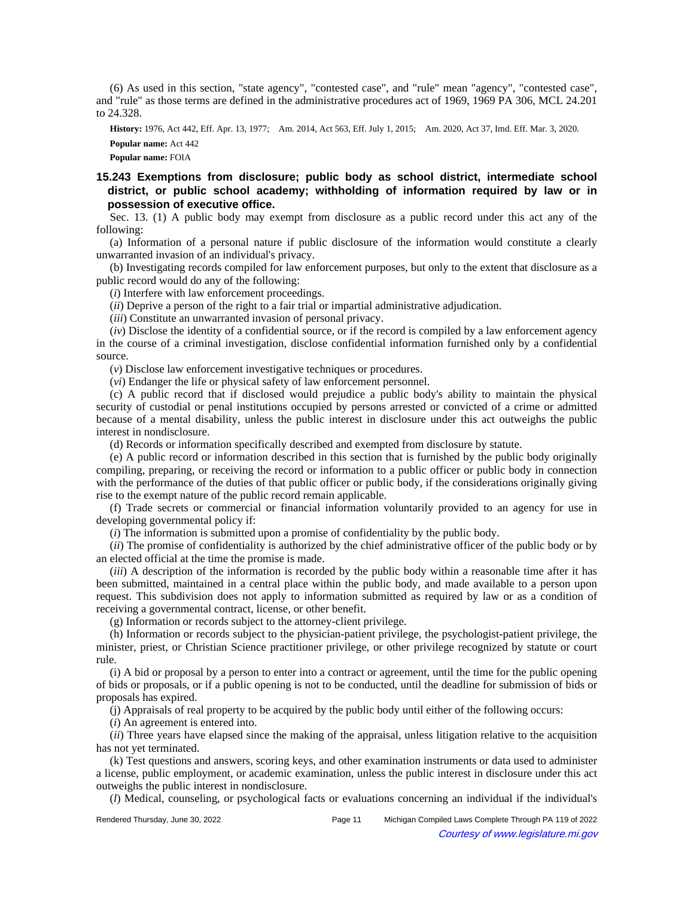(6) As used in this section, "state agency", "contested case", and "rule" mean "agency", "contested case", and "rule" as those terms are defined in the administrative procedures act of 1969, 1969 PA 306, MCL 24.201 to 24.328.

History: 1976, Act 442, Eff. Apr. 13, 1977;—Am. 2014, Act 563, Eff. July 1, 2015;—Am. 2020, Act 37, Imd. Eff. Mar. 3, 2020.

**Popular name:** Act 442

**Popular name:** FOIA

# **15.243 Exemptions from disclosure; public body as school district, intermediate school district, or public school academy; withholding of information required by law or in possession of executive office.**

Sec. 13. (1) A public body may exempt from disclosure as a public record under this act any of the following:

(a) Information of a personal nature if public disclosure of the information would constitute a clearly unwarranted invasion of an individual's privacy.

(b) Investigating records compiled for law enforcement purposes, but only to the extent that disclosure as a public record would do any of the following:

(*i*) Interfere with law enforcement proceedings.

(*ii*) Deprive a person of the right to a fair trial or impartial administrative adjudication.

(*iii*) Constitute an unwarranted invasion of personal privacy.

(*iv*) Disclose the identity of a confidential source, or if the record is compiled by a law enforcement agency in the course of a criminal investigation, disclose confidential information furnished only by a confidential source.

(*v*) Disclose law enforcement investigative techniques or procedures.

(*vi*) Endanger the life or physical safety of law enforcement personnel.

(c) A public record that if disclosed would prejudice a public body's ability to maintain the physical security of custodial or penal institutions occupied by persons arrested or convicted of a crime or admitted because of a mental disability, unless the public interest in disclosure under this act outweighs the public interest in nondisclosure.

(d) Records or information specifically described and exempted from disclosure by statute.

(e) A public record or information described in this section that is furnished by the public body originally compiling, preparing, or receiving the record or information to a public officer or public body in connection with the performance of the duties of that public officer or public body, if the considerations originally giving rise to the exempt nature of the public record remain applicable.

(f) Trade secrets or commercial or financial information voluntarily provided to an agency for use in developing governmental policy if:

(*i*) The information is submitted upon a promise of confidentiality by the public body.

(*ii*) The promise of confidentiality is authorized by the chief administrative officer of the public body or by an elected official at the time the promise is made.

(*iii*) A description of the information is recorded by the public body within a reasonable time after it has been submitted, maintained in a central place within the public body, and made available to a person upon request. This subdivision does not apply to information submitted as required by law or as a condition of receiving a governmental contract, license, or other benefit.

(g) Information or records subject to the attorney-client privilege.

(h) Information or records subject to the physician-patient privilege, the psychologist-patient privilege, the minister, priest, or Christian Science practitioner privilege, or other privilege recognized by statute or court rule.

(i) A bid or proposal by a person to enter into a contract or agreement, until the time for the public opening of bids or proposals, or if a public opening is not to be conducted, until the deadline for submission of bids or proposals has expired.

(j) Appraisals of real property to be acquired by the public body until either of the following occurs:

(*i*) An agreement is entered into.

(*ii*) Three years have elapsed since the making of the appraisal, unless litigation relative to the acquisition has not yet terminated.

(k) Test questions and answers, scoring keys, and other examination instruments or data used to administer a license, public employment, or academic examination, unless the public interest in disclosure under this act outweighs the public interest in nondisclosure.

(*l*) Medical, counseling, or psychological facts or evaluations concerning an individual if the individual's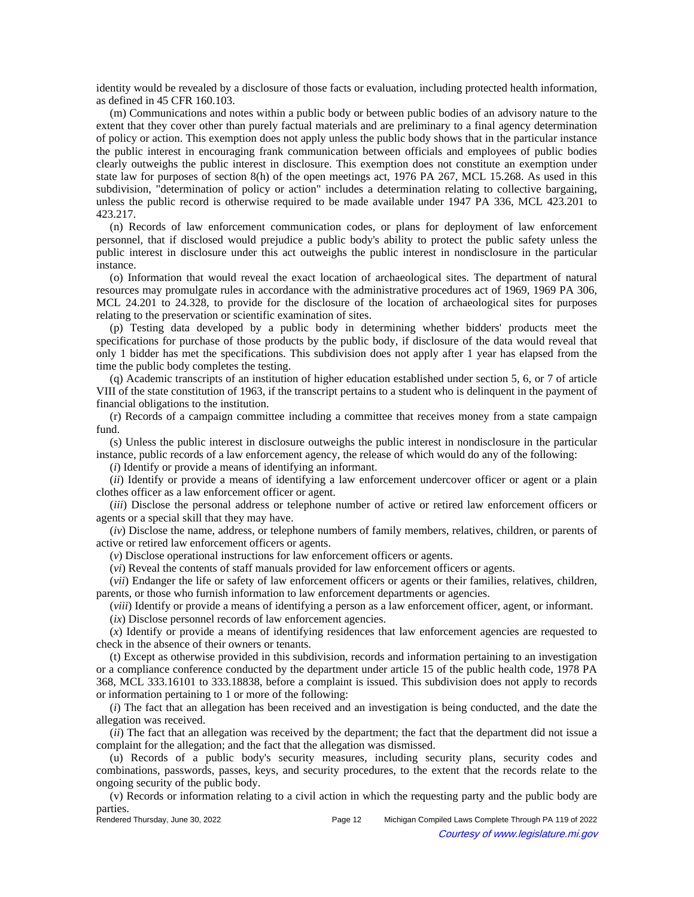identity would be revealed by a disclosure of those facts or evaluation, including protected health information, as defined in 45 CFR 160.103.

(m) Communications and notes within a public body or between public bodies of an advisory nature to the extent that they cover other than purely factual materials and are preliminary to a final agency determination of policy or action. This exemption does not apply unless the public body shows that in the particular instance the public interest in encouraging frank communication between officials and employees of public bodies clearly outweighs the public interest in disclosure. This exemption does not constitute an exemption under state law for purposes of section 8(h) of the open meetings act, 1976 PA 267, MCL 15.268. As used in this subdivision, "determination of policy or action" includes a determination relating to collective bargaining, unless the public record is otherwise required to be made available under 1947 PA 336, MCL 423.201 to 423.217.

(n) Records of law enforcement communication codes, or plans for deployment of law enforcement personnel, that if disclosed would prejudice a public body's ability to protect the public safety unless the public interest in disclosure under this act outweighs the public interest in nondisclosure in the particular instance.

(o) Information that would reveal the exact location of archaeological sites. The department of natural resources may promulgate rules in accordance with the administrative procedures act of 1969, 1969 PA 306, MCL 24.201 to 24.328, to provide for the disclosure of the location of archaeological sites for purposes relating to the preservation or scientific examination of sites.

(p) Testing data developed by a public body in determining whether bidders' products meet the specifications for purchase of those products by the public body, if disclosure of the data would reveal that only 1 bidder has met the specifications. This subdivision does not apply after 1 year has elapsed from the time the public body completes the testing.

(q) Academic transcripts of an institution of higher education established under section 5, 6, or 7 of article VIII of the state constitution of 1963, if the transcript pertains to a student who is delinquent in the payment of financial obligations to the institution.

(r) Records of a campaign committee including a committee that receives money from a state campaign fund.

(s) Unless the public interest in disclosure outweighs the public interest in nondisclosure in the particular instance, public records of a law enforcement agency, the release of which would do any of the following:

(*i*) Identify or provide a means of identifying an informant.

(*ii*) Identify or provide a means of identifying a law enforcement undercover officer or agent or a plain clothes officer as a law enforcement officer or agent.

(*iii*) Disclose the personal address or telephone number of active or retired law enforcement officers or agents or a special skill that they may have.

(*iv*) Disclose the name, address, or telephone numbers of family members, relatives, children, or parents of active or retired law enforcement officers or agents.

(*v*) Disclose operational instructions for law enforcement officers or agents.

(*vi*) Reveal the contents of staff manuals provided for law enforcement officers or agents.

(*vii*) Endanger the life or safety of law enforcement officers or agents or their families, relatives, children, parents, or those who furnish information to law enforcement departments or agencies.

(*viii*) Identify or provide a means of identifying a person as a law enforcement officer, agent, or informant. (*ix*) Disclose personnel records of law enforcement agencies.

(*x*) Identify or provide a means of identifying residences that law enforcement agencies are requested to check in the absence of their owners or tenants.

(t) Except as otherwise provided in this subdivision, records and information pertaining to an investigation or a compliance conference conducted by the department under article 15 of the public health code, 1978 PA 368, MCL 333.16101 to 333.18838, before a complaint is issued. This subdivision does not apply to records or information pertaining to 1 or more of the following:

(*i*) The fact that an allegation has been received and an investigation is being conducted, and the date the allegation was received.

(*ii*) The fact that an allegation was received by the department; the fact that the department did not issue a complaint for the allegation; and the fact that the allegation was dismissed.

(u) Records of a public body's security measures, including security plans, security codes and combinations, passwords, passes, keys, and security procedures, to the extent that the records relate to the ongoing security of the public body.

(v) Records or information relating to a civil action in which the requesting party and the public body are parties.<br>Rendered Thursday, June 30, 2022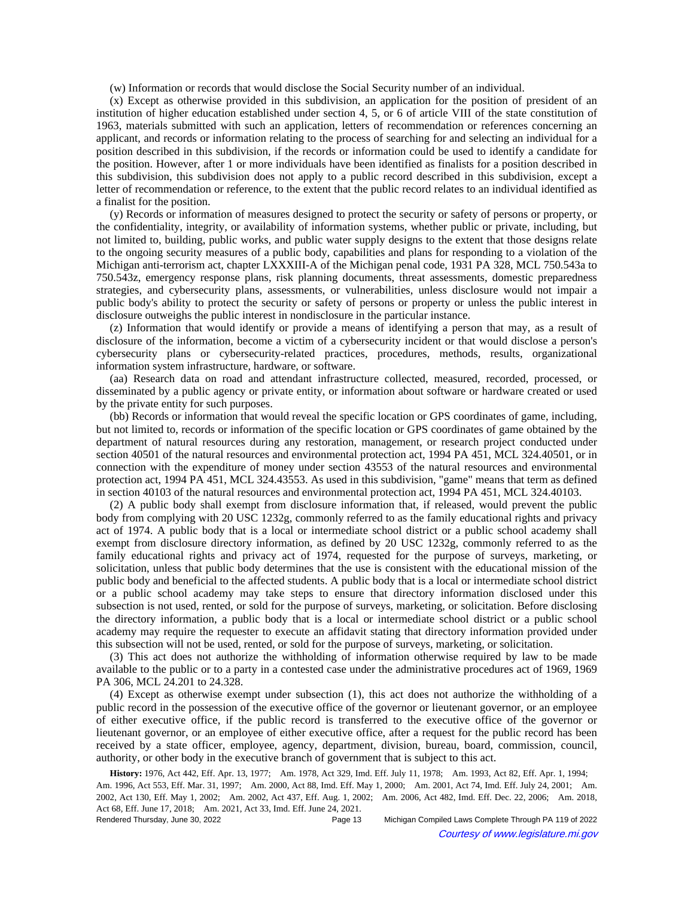(w) Information or records that would disclose the Social Security number of an individual.

(x) Except as otherwise provided in this subdivision, an application for the position of president of an institution of higher education established under section 4, 5, or 6 of article VIII of the state constitution of 1963, materials submitted with such an application, letters of recommendation or references concerning an applicant, and records or information relating to the process of searching for and selecting an individual for a position described in this subdivision, if the records or information could be used to identify a candidate for the position. However, after 1 or more individuals have been identified as finalists for a position described in this subdivision, this subdivision does not apply to a public record described in this subdivision, except a letter of recommendation or reference, to the extent that the public record relates to an individual identified as a finalist for the position.

(y) Records or information of measures designed to protect the security or safety of persons or property, or the confidentiality, integrity, or availability of information systems, whether public or private, including, but not limited to, building, public works, and public water supply designs to the extent that those designs relate to the ongoing security measures of a public body, capabilities and plans for responding to a violation of the Michigan anti-terrorism act, chapter LXXXIII-A of the Michigan penal code, 1931 PA 328, MCL 750.543a to 750.543z, emergency response plans, risk planning documents, threat assessments, domestic preparedness strategies, and cybersecurity plans, assessments, or vulnerabilities, unless disclosure would not impair a public body's ability to protect the security or safety of persons or property or unless the public interest in disclosure outweighs the public interest in nondisclosure in the particular instance.

(z) Information that would identify or provide a means of identifying a person that may, as a result of disclosure of the information, become a victim of a cybersecurity incident or that would disclose a person's cybersecurity plans or cybersecurity-related practices, procedures, methods, results, organizational information system infrastructure, hardware, or software.

(aa) Research data on road and attendant infrastructure collected, measured, recorded, processed, or disseminated by a public agency or private entity, or information about software or hardware created or used by the private entity for such purposes.

(bb) Records or information that would reveal the specific location or GPS coordinates of game, including, but not limited to, records or information of the specific location or GPS coordinates of game obtained by the department of natural resources during any restoration, management, or research project conducted under section 40501 of the natural resources and environmental protection act, 1994 PA 451, MCL 324.40501, or in connection with the expenditure of money under section 43553 of the natural resources and environmental protection act, 1994 PA 451, MCL 324.43553. As used in this subdivision, "game" means that term as defined in section 40103 of the natural resources and environmental protection act, 1994 PA 451, MCL 324.40103.

(2) A public body shall exempt from disclosure information that, if released, would prevent the public body from complying with 20 USC 1232g, commonly referred to as the family educational rights and privacy act of 1974. A public body that is a local or intermediate school district or a public school academy shall exempt from disclosure directory information, as defined by 20 USC 1232g, commonly referred to as the family educational rights and privacy act of 1974, requested for the purpose of surveys, marketing, or solicitation, unless that public body determines that the use is consistent with the educational mission of the public body and beneficial to the affected students. A public body that is a local or intermediate school district or a public school academy may take steps to ensure that directory information disclosed under this subsection is not used, rented, or sold for the purpose of surveys, marketing, or solicitation. Before disclosing the directory information, a public body that is a local or intermediate school district or a public school academy may require the requester to execute an affidavit stating that directory information provided under this subsection will not be used, rented, or sold for the purpose of surveys, marketing, or solicitation.

(3) This act does not authorize the withholding of information otherwise required by law to be made available to the public or to a party in a contested case under the administrative procedures act of 1969, 1969 PA 306, MCL 24.201 to 24.328.

(4) Except as otherwise exempt under subsection (1), this act does not authorize the withholding of a public record in the possession of the executive office of the governor or lieutenant governor, or an employee of either executive office, if the public record is transferred to the executive office of the governor or lieutenant governor, or an employee of either executive office, after a request for the public record has been received by a state officer, employee, agency, department, division, bureau, board, commission, council, authority, or other body in the executive branch of government that is subject to this act.

History: 1976, Act 442, Eff. Apr. 13, 1977;--Am. 1978, Act 329, Imd. Eff. July 11, 1978;--Am. 1993, Act 82, Eff. Apr. 1, 1994;--Am. 1996, Act 553, Eff. Mar. 31, 1997;—Am. 2000, Act 88, Imd. Eff. May 1, 2000;—Am. 2001, Act 74, Imd. Eff. July 24, 2001;—Am. 2002, Act 130, Eff. May 1, 2002;--Am. 2002, Act 437, Eff. Aug. 1, 2002;--Am. 2006, Act 482, Imd. Eff. Dec. 22, 2006;--Am. 2018, Act 68, Eff. June 17, 2018;-- Am. 2021, Act 33, Imd. Eff. June 24, 2021. Rendered Thursday, June 30, 2022 Page 13 Michigan Compiled Laws Complete Through PA 119 of 2022